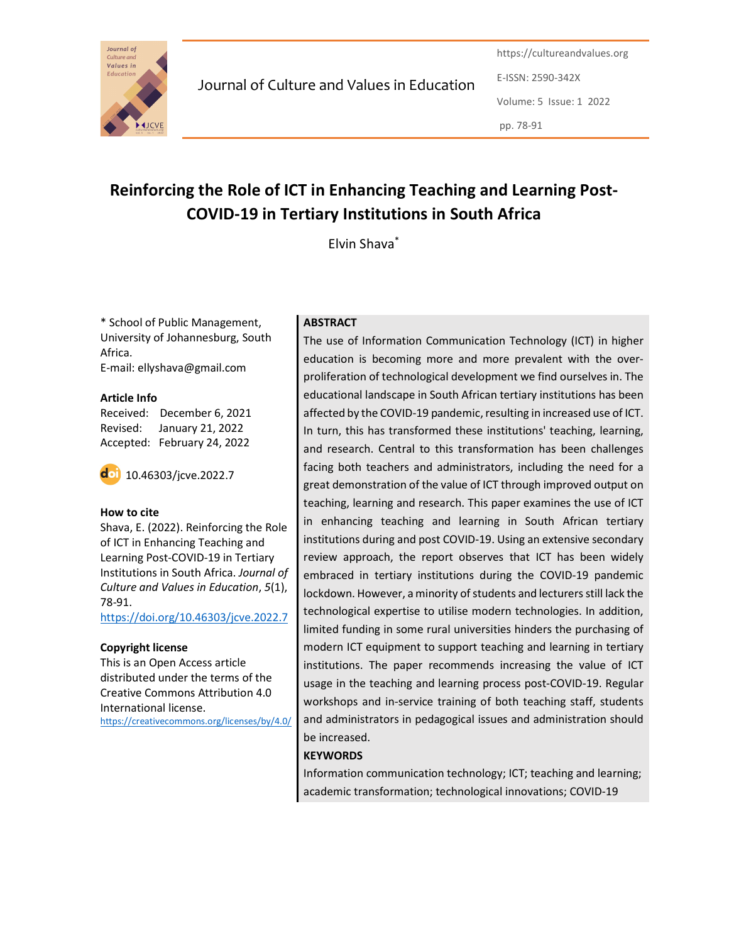

Journal of Culture and Values in Education

https://cultureandvalues.org E-ISSN: 2590-342X Volume: 5 Issue: 1 2022 pp. 78-91

# Reinforcing the Role of ICT in Enhancing Teaching and Learning Post-COVID-19 in Tertiary Institutions in South Africa

Elvin Shava\*

\* School of Public Management, University of Johannesburg, South Africa. E-mail: ellyshava@gmail.com

#### Article Info

Received: December 6, 2021 Revised: January 21, 2022 Accepted: February 24, 2022



#### How to cite

Shava, E. (2022). Reinforcing the Role of ICT in Enhancing Teaching and Learning Post-COVID-19 in Tertiary Institutions in South Africa. Journal of Culture and Values in Education, 5(1), 78-91.

https://doi.org/10.46303/jcve.2022.7

#### Copyright license

This is an Open Access article distributed under the terms of the Creative Commons Attribution 4.0 International license. https://creativecommons.org/licenses/by/4.0/

## **ABSTRACT**

The use of Information Communication Technology (ICT) in higher education is becoming more and more prevalent with the overproliferation of technological development we find ourselves in. The educational landscape in South African tertiary institutions has been affected by the COVID-19 pandemic, resulting in increased use of ICT. In turn, this has transformed these institutions' teaching, learning, and research. Central to this transformation has been challenges facing both teachers and administrators, including the need for a great demonstration of the value of ICT through improved output on teaching, learning and research. This paper examines the use of ICT in enhancing teaching and learning in South African tertiary institutions during and post COVID-19. Using an extensive secondary review approach, the report observes that ICT has been widely embraced in tertiary institutions during the COVID-19 pandemic lockdown. However, a minority of students and lecturers still lack the technological expertise to utilise modern technologies. In addition, limited funding in some rural universities hinders the purchasing of modern ICT equipment to support teaching and learning in tertiary institutions. The paper recommends increasing the value of ICT usage in the teaching and learning process post-COVID-19. Regular workshops and in-service training of both teaching staff, students and administrators in pedagogical issues and administration should be increased.

## **KEYWORDS**

Information communication technology; ICT; teaching and learning; academic transformation; technological innovations; COVID-19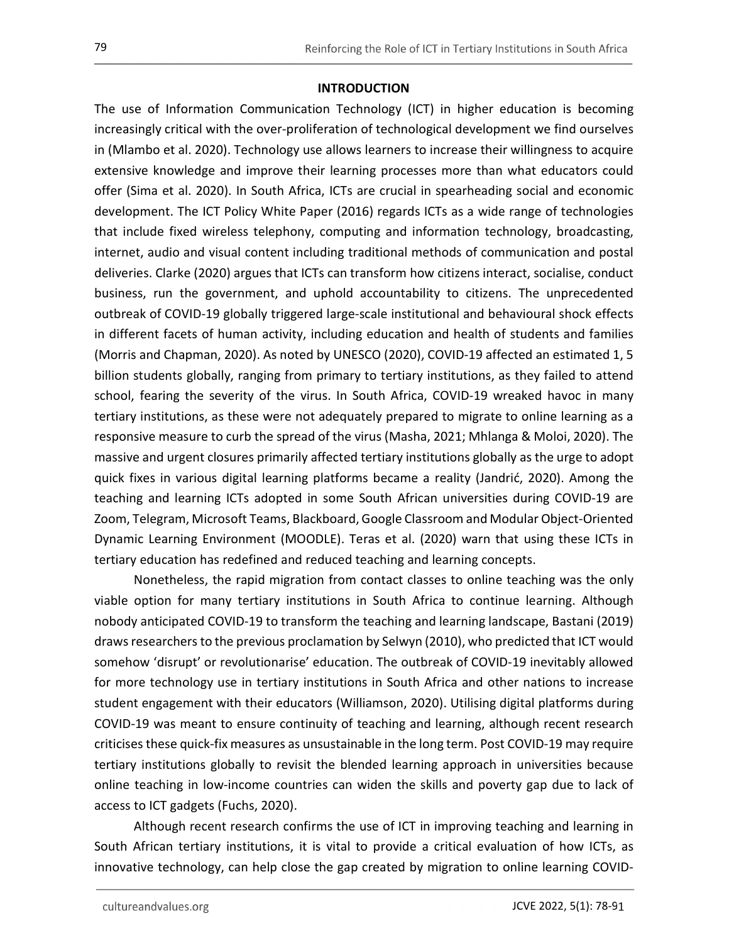## **INTRODUCTION**

The use of Information Communication Technology (ICT) in higher education is becoming increasingly critical with the over-proliferation of technological development we find ourselves in (Mlambo et al. 2020). Technology use allows learners to increase their willingness to acquire extensive knowledge and improve their learning processes more than what educators could offer (Sima et al. 2020). In South Africa, ICTs are crucial in spearheading social and economic development. The ICT Policy White Paper (2016) regards ICTs as a wide range of technologies that include fixed wireless telephony, computing and information technology, broadcasting, internet, audio and visual content including traditional methods of communication and postal deliveries. Clarke (2020) argues that ICTs can transform how citizens interact, socialise, conduct business, run the government, and uphold accountability to citizens. The unprecedented outbreak of COVID-19 globally triggered large-scale institutional and behavioural shock effects in different facets of human activity, including education and health of students and families (Morris and Chapman, 2020). As noted by UNESCO (2020), COVID-19 affected an estimated 1, 5 billion students globally, ranging from primary to tertiary institutions, as they failed to attend school, fearing the severity of the virus. In South Africa, COVID-19 wreaked havoc in many tertiary institutions, as these were not adequately prepared to migrate to online learning as a responsive measure to curb the spread of the virus (Masha, 2021; Mhlanga & Moloi, 2020). The massive and urgent closures primarily affected tertiary institutions globally as the urge to adopt quick fixes in various digital learning platforms became a reality (Jandrić, 2020). Among the teaching and learning ICTs adopted in some South African universities during COVID-19 are Zoom, Telegram, Microsoft Teams, Blackboard, Google Classroom and Modular Object-Oriented Dynamic Learning Environment (MOODLE). Teras et al. (2020) warn that using these ICTs in tertiary education has redefined and reduced teaching and learning concepts.

Nonetheless, the rapid migration from contact classes to online teaching was the only viable option for many tertiary institutions in South Africa to continue learning. Although nobody anticipated COVID-19 to transform the teaching and learning landscape, Bastani (2019) draws researchers to the previous proclamation by Selwyn (2010), who predicted that ICT would somehow 'disrupt' or revolutionarise' education. The outbreak of COVID-19 inevitably allowed for more technology use in tertiary institutions in South Africa and other nations to increase student engagement with their educators (Williamson, 2020). Utilising digital platforms during COVID-19 was meant to ensure continuity of teaching and learning, although recent research criticises these quick-fix measures as unsustainable in the long term. Post COVID-19 may require tertiary institutions globally to revisit the blended learning approach in universities because online teaching in low-income countries can widen the skills and poverty gap due to lack of access to ICT gadgets (Fuchs, 2020).

Although recent research confirms the use of ICT in improving teaching and learning in South African tertiary institutions, it is vital to provide a critical evaluation of how ICTs, as innovative technology, can help close the gap created by migration to online learning COVID-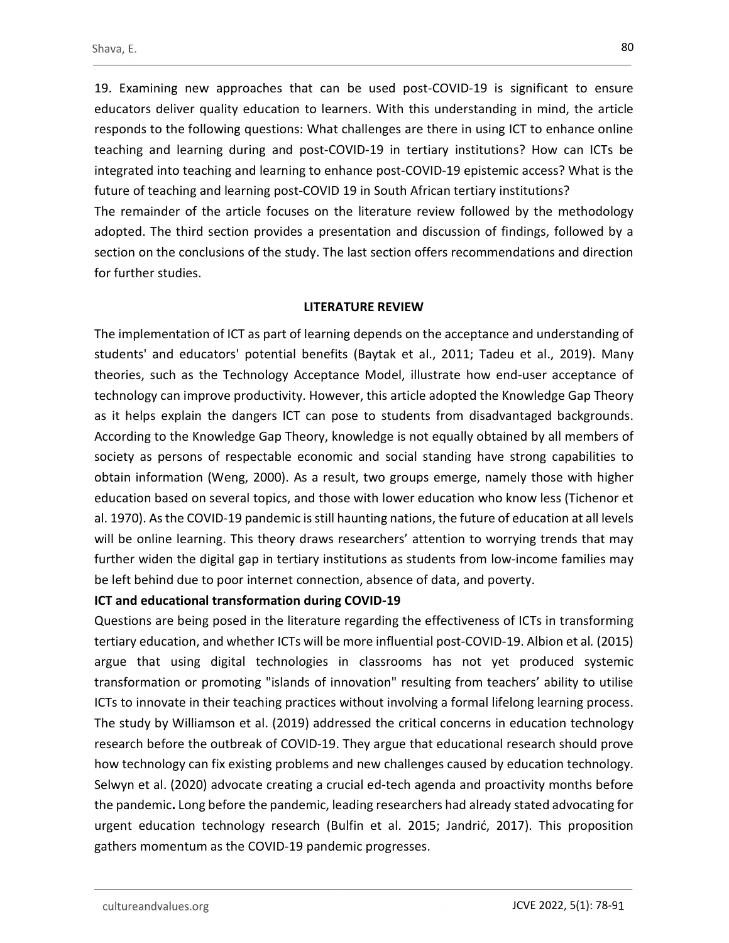for further studies.

19. Examining new approaches that can be used post-COVID-19 is significant to ensure educators deliver quality education to learners. With this understanding in mind, the article responds to the following questions: What challenges are there in using ICT to enhance online teaching and learning during and post-COVID-19 in tertiary institutions? How can ICTs be integrated into teaching and learning to enhance post-COVID-19 epistemic access? What is the future of teaching and learning post-COVID 19 in South African tertiary institutions? The remainder of the article focuses on the literature review followed by the methodology adopted. The third section provides a presentation and discussion of findings, followed by a section on the conclusions of the study. The last section offers recommendations and direction

#### LITERATURE REVIEW

The implementation of ICT as part of learning depends on the acceptance and understanding of students' and educators' potential benefits (Baytak et al., 2011; Tadeu et al., 2019). Many theories, such as the Technology Acceptance Model, illustrate how end-user acceptance of technology can improve productivity. However, this article adopted the Knowledge Gap Theory as it helps explain the dangers ICT can pose to students from disadvantaged backgrounds. According to the Knowledge Gap Theory, knowledge is not equally obtained by all members of society as persons of respectable economic and social standing have strong capabilities to obtain information (Weng, 2000). As a result, two groups emerge, namely those with higher education based on several topics, and those with lower education who know less (Tichenor et al. 1970). As the COVID-19 pandemic is still haunting nations, the future of education at all levels will be online learning. This theory draws researchers' attention to worrying trends that may further widen the digital gap in tertiary institutions as students from low-income families may be left behind due to poor internet connection, absence of data, and poverty.

#### ICT and educational transformation during COVID-19

Questions are being posed in the literature regarding the effectiveness of ICTs in transforming tertiary education, and whether ICTs will be more influential post-COVID-19. Albion et al. (2015) argue that using digital technologies in classrooms has not yet produced systemic transformation or promoting "islands of innovation" resulting from teachers' ability to utilise ICTs to innovate in their teaching practices without involving a formal lifelong learning process. The study by Williamson et al. (2019) addressed the critical concerns in education technology research before the outbreak of COVID-19. They argue that educational research should prove how technology can fix existing problems and new challenges caused by education technology. Selwyn et al. (2020) advocate creating a crucial ed-tech agenda and proactivity months before the pandemic. Long before the pandemic, leading researchers had already stated advocating for urgent education technology research (Bulfin et al. 2015; Jandrić, 2017). This proposition gathers momentum as the COVID-19 pandemic progresses.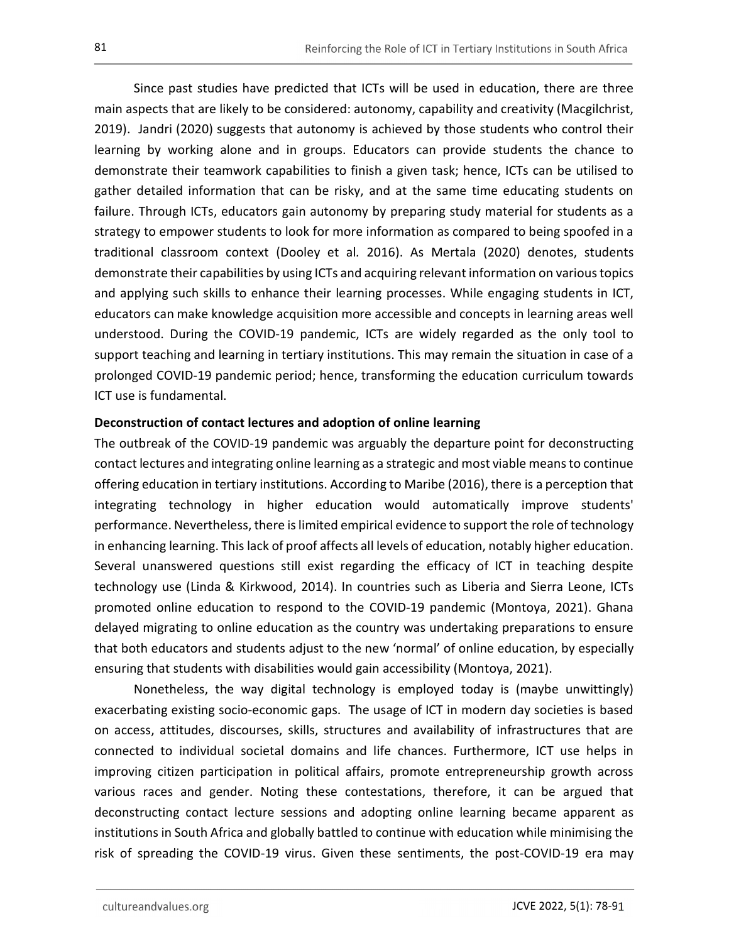Since past studies have predicted that ICTs will be used in education, there are three main aspects that are likely to be considered: autonomy, capability and creativity (Macgilchrist, 2019). Jandri (2020) suggests that autonomy is achieved by those students who control their learning by working alone and in groups. Educators can provide students the chance to demonstrate their teamwork capabilities to finish a given task; hence, ICTs can be utilised to gather detailed information that can be risky, and at the same time educating students on failure. Through ICTs, educators gain autonomy by preparing study material for students as a strategy to empower students to look for more information as compared to being spoofed in a traditional classroom context (Dooley et al. 2016). As Mertala (2020) denotes, students demonstrate their capabilities by using ICTs and acquiring relevant information on various topics and applying such skills to enhance their learning processes. While engaging students in ICT, educators can make knowledge acquisition more accessible and concepts in learning areas well understood. During the COVID-19 pandemic, ICTs are widely regarded as the only tool to support teaching and learning in tertiary institutions. This may remain the situation in case of a prolonged COVID-19 pandemic period; hence, transforming the education curriculum towards ICT use is fundamental.

## Deconstruction of contact lectures and adoption of online learning

The outbreak of the COVID-19 pandemic was arguably the departure point for deconstructing contact lectures and integrating online learning as a strategic and most viable means to continue offering education in tertiary institutions. According to Maribe (2016), there is a perception that integrating technology in higher education would automatically improve students' performance. Nevertheless, there is limited empirical evidence to support the role of technology in enhancing learning. This lack of proof affects all levels of education, notably higher education. Several unanswered questions still exist regarding the efficacy of ICT in teaching despite technology use (Linda & Kirkwood, 2014). In countries such as Liberia and Sierra Leone, ICTs promoted online education to respond to the COVID-19 pandemic (Montoya, 2021). Ghana delayed migrating to online education as the country was undertaking preparations to ensure that both educators and students adjust to the new 'normal' of online education, by especially ensuring that students with disabilities would gain accessibility (Montoya, 2021).

Nonetheless, the way digital technology is employed today is (maybe unwittingly) exacerbating existing socio-economic gaps. The usage of ICT in modern day societies is based on access, attitudes, discourses, skills, structures and availability of infrastructures that are connected to individual societal domains and life chances. Furthermore, ICT use helps in improving citizen participation in political affairs, promote entrepreneurship growth across various races and gender. Noting these contestations, therefore, it can be argued that deconstructing contact lecture sessions and adopting online learning became apparent as institutions in South Africa and globally battled to continue with education while minimising the risk of spreading the COVID-19 virus. Given these sentiments, the post-COVID-19 era may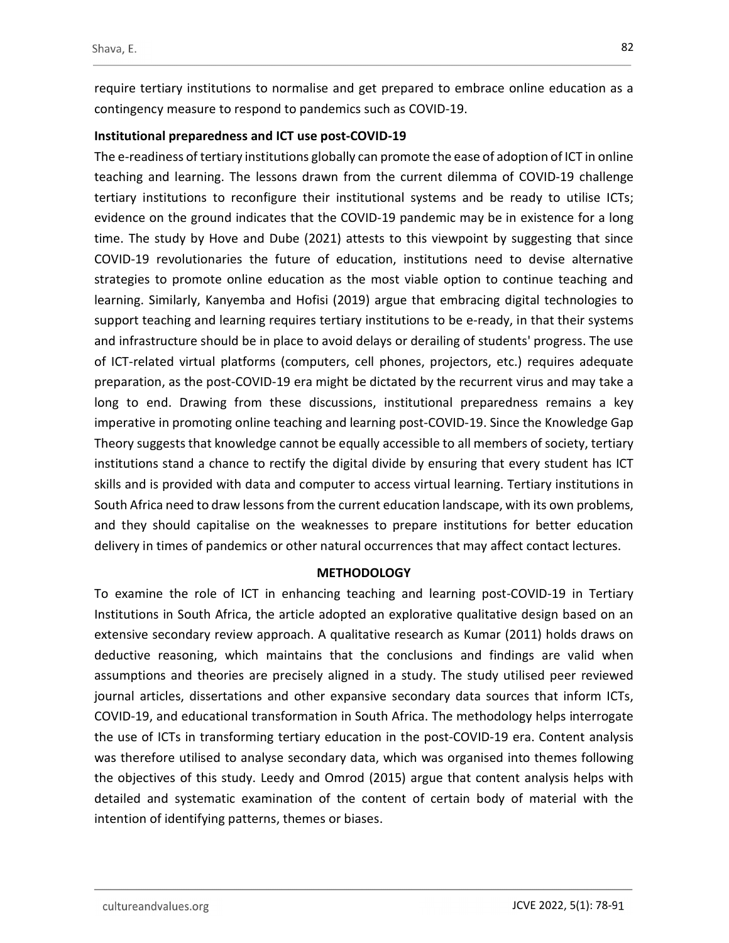require tertiary institutions to normalise and get prepared to embrace online education as a contingency measure to respond to pandemics such as COVID-19.

# Institutional preparedness and ICT use post-COVID-19

The e-readiness of tertiary institutions globally can promote the ease of adoption of ICT in online teaching and learning. The lessons drawn from the current dilemma of COVID-19 challenge tertiary institutions to reconfigure their institutional systems and be ready to utilise ICTs; evidence on the ground indicates that the COVID-19 pandemic may be in existence for a long time. The study by Hove and Dube (2021) attests to this viewpoint by suggesting that since COVID-19 revolutionaries the future of education, institutions need to devise alternative strategies to promote online education as the most viable option to continue teaching and learning. Similarly, Kanyemba and Hofisi (2019) argue that embracing digital technologies to support teaching and learning requires tertiary institutions to be e-ready, in that their systems and infrastructure should be in place to avoid delays or derailing of students' progress. The use of ICT-related virtual platforms (computers, cell phones, projectors, etc.) requires adequate preparation, as the post-COVID-19 era might be dictated by the recurrent virus and may take a long to end. Drawing from these discussions, institutional preparedness remains a key imperative in promoting online teaching and learning post-COVID-19. Since the Knowledge Gap Theory suggests that knowledge cannot be equally accessible to all members of society, tertiary institutions stand a chance to rectify the digital divide by ensuring that every student has ICT skills and is provided with data and computer to access virtual learning. Tertiary institutions in South Africa need to draw lessons from the current education landscape, with its own problems, and they should capitalise on the weaknesses to prepare institutions for better education delivery in times of pandemics or other natural occurrences that may affect contact lectures.

## **METHODOLOGY**

To examine the role of ICT in enhancing teaching and learning post-COVID-19 in Tertiary Institutions in South Africa, the article adopted an explorative qualitative design based on an extensive secondary review approach. A qualitative research as Kumar (2011) holds draws on deductive reasoning, which maintains that the conclusions and findings are valid when assumptions and theories are precisely aligned in a study. The study utilised peer reviewed journal articles, dissertations and other expansive secondary data sources that inform ICTs, COVID-19, and educational transformation in South Africa. The methodology helps interrogate the use of ICTs in transforming tertiary education in the post-COVID-19 era. Content analysis was therefore utilised to analyse secondary data, which was organised into themes following the objectives of this study. Leedy and Omrod (2015) argue that content analysis helps with detailed and systematic examination of the content of certain body of material with the intention of identifying patterns, themes or biases.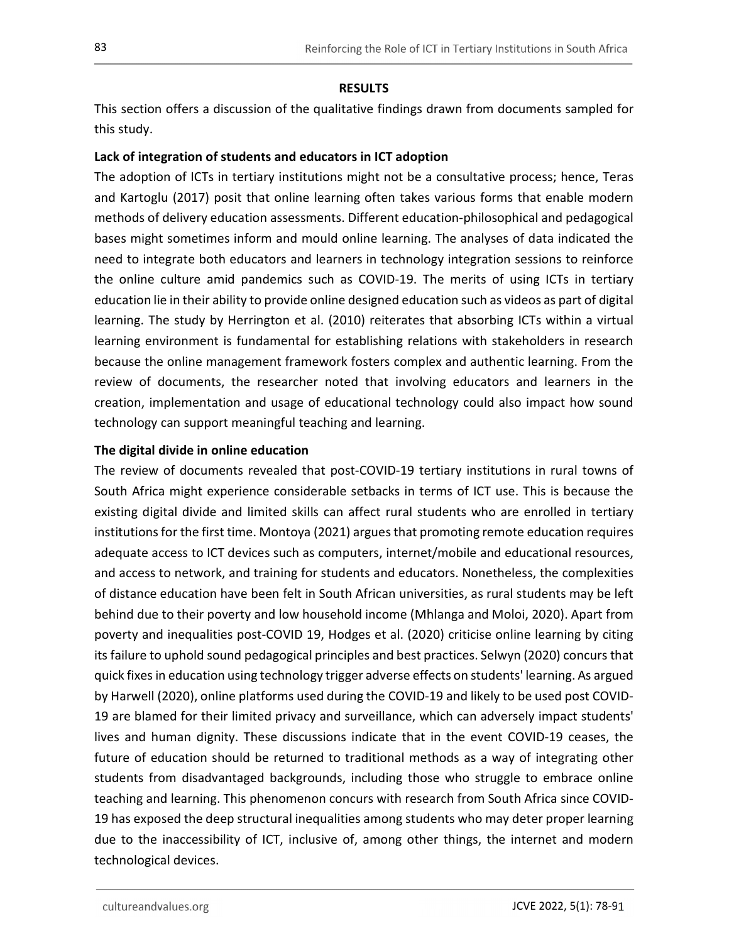## **RESULTS**

This section offers a discussion of the qualitative findings drawn from documents sampled for this study.

# Lack of integration of students and educators in ICT adoption

The adoption of ICTs in tertiary institutions might not be a consultative process; hence, Teras and Kartoglu (2017) posit that online learning often takes various forms that enable modern methods of delivery education assessments. Different education-philosophical and pedagogical bases might sometimes inform and mould online learning. The analyses of data indicated the need to integrate both educators and learners in technology integration sessions to reinforce the online culture amid pandemics such as COVID-19. The merits of using ICTs in tertiary education lie in their ability to provide online designed education such as videos as part of digital learning. The study by Herrington et al. (2010) reiterates that absorbing ICTs within a virtual learning environment is fundamental for establishing relations with stakeholders in research because the online management framework fosters complex and authentic learning. From the review of documents, the researcher noted that involving educators and learners in the creation, implementation and usage of educational technology could also impact how sound technology can support meaningful teaching and learning.

## The digital divide in online education

The review of documents revealed that post-COVID-19 tertiary institutions in rural towns of South Africa might experience considerable setbacks in terms of ICT use. This is because the existing digital divide and limited skills can affect rural students who are enrolled in tertiary institutions for the first time. Montoya (2021) argues that promoting remote education requires adequate access to ICT devices such as computers, internet/mobile and educational resources, and access to network, and training for students and educators. Nonetheless, the complexities of distance education have been felt in South African universities, as rural students may be left behind due to their poverty and low household income (Mhlanga and Moloi, 2020). Apart from poverty and inequalities post-COVID 19, Hodges et al. (2020) criticise online learning by citing its failure to uphold sound pedagogical principles and best practices. Selwyn (2020) concurs that quick fixes in education using technology trigger adverse effects on students' learning. As argued by Harwell (2020), online platforms used during the COVID-19 and likely to be used post COVID-19 are blamed for their limited privacy and surveillance, which can adversely impact students' lives and human dignity. These discussions indicate that in the event COVID-19 ceases, the future of education should be returned to traditional methods as a way of integrating other students from disadvantaged backgrounds, including those who struggle to embrace online teaching and learning. This phenomenon concurs with research from South Africa since COVID-19 has exposed the deep structural inequalities among students who may deter proper learning due to the inaccessibility of ICT, inclusive of, among other things, the internet and modern technological devices.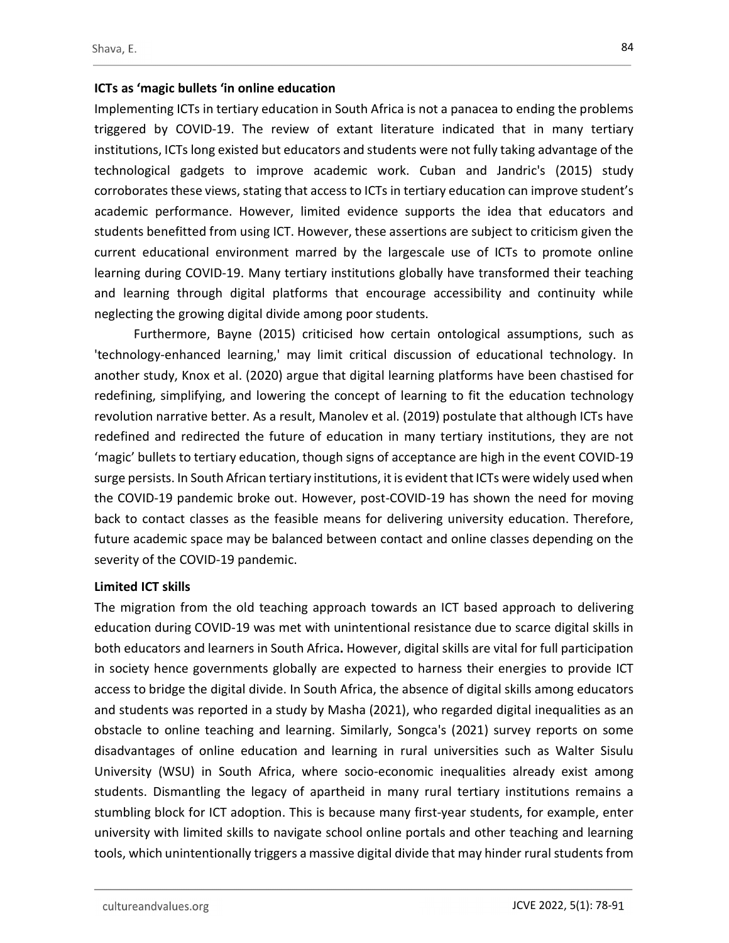## ICTs as 'magic bullets 'in online education

Implementing ICTs in tertiary education in South Africa is not a panacea to ending the problems triggered by COVID-19. The review of extant literature indicated that in many tertiary institutions, ICTs long existed but educators and students were not fully taking advantage of the technological gadgets to improve academic work. Cuban and Jandric's (2015) study corroborates these views, stating that access to ICTs in tertiary education can improve student's academic performance. However, limited evidence supports the idea that educators and students benefitted from using ICT. However, these assertions are subject to criticism given the current educational environment marred by the largescale use of ICTs to promote online learning during COVID-19. Many tertiary institutions globally have transformed their teaching and learning through digital platforms that encourage accessibility and continuity while neglecting the growing digital divide among poor students.

Furthermore, Bayne (2015) criticised how certain ontological assumptions, such as 'technology-enhanced learning,' may limit critical discussion of educational technology. In another study, Knox et al. (2020) argue that digital learning platforms have been chastised for redefining, simplifying, and lowering the concept of learning to fit the education technology revolution narrative better. As a result, Manolev et al. (2019) postulate that although ICTs have redefined and redirected the future of education in many tertiary institutions, they are not 'magic' bullets to tertiary education, though signs of acceptance are high in the event COVID-19 surge persists. In South African tertiary institutions, it is evident that ICTs were widely used when the COVID-19 pandemic broke out. However, post-COVID-19 has shown the need for moving back to contact classes as the feasible means for delivering university education. Therefore, future academic space may be balanced between contact and online classes depending on the severity of the COVID-19 pandemic.

## Limited ICT skills

The migration from the old teaching approach towards an ICT based approach to delivering education during COVID-19 was met with unintentional resistance due to scarce digital skills in both educators and learners in South Africa. However, digital skills are vital for full participation in society hence governments globally are expected to harness their energies to provide ICT access to bridge the digital divide. In South Africa, the absence of digital skills among educators and students was reported in a study by Masha (2021), who regarded digital inequalities as an obstacle to online teaching and learning. Similarly, Songca's (2021) survey reports on some disadvantages of online education and learning in rural universities such as Walter Sisulu University (WSU) in South Africa, where socio-economic inequalities already exist among students. Dismantling the legacy of apartheid in many rural tertiary institutions remains a stumbling block for ICT adoption. This is because many first-year students, for example, enter university with limited skills to navigate school online portals and other teaching and learning tools, which unintentionally triggers a massive digital divide that may hinder rural students from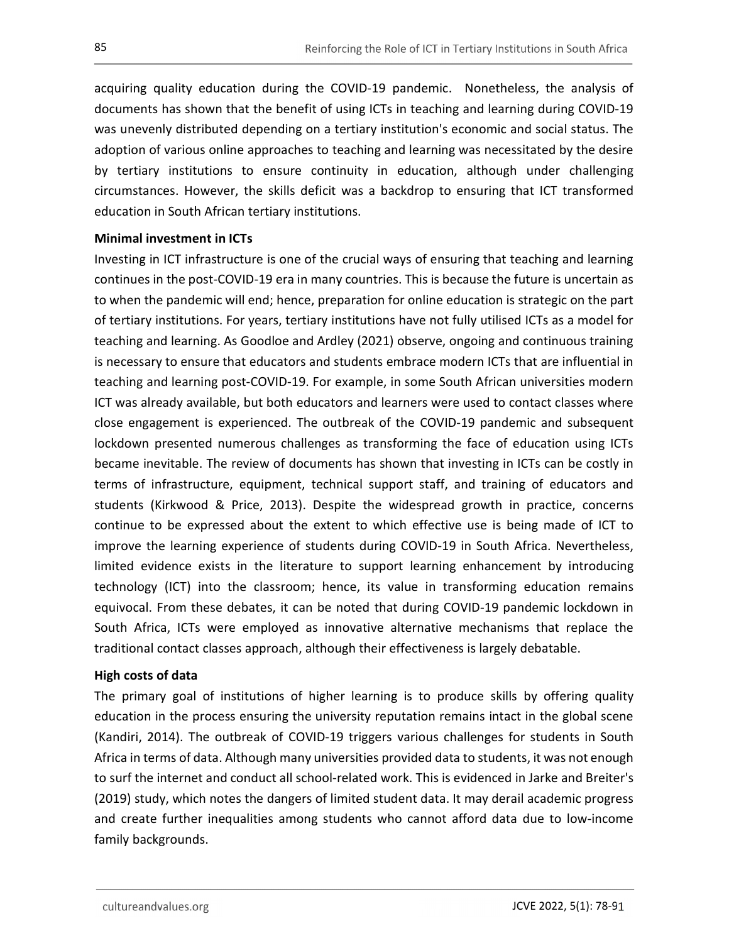acquiring quality education during the COVID-19 pandemic. Nonetheless, the analysis of documents has shown that the benefit of using ICTs in teaching and learning during COVID-19 was unevenly distributed depending on a tertiary institution's economic and social status. The adoption of various online approaches to teaching and learning was necessitated by the desire by tertiary institutions to ensure continuity in education, although under challenging circumstances. However, the skills deficit was a backdrop to ensuring that ICT transformed education in South African tertiary institutions.

## Minimal investment in ICTs

Investing in ICT infrastructure is one of the crucial ways of ensuring that teaching and learning continues in the post-COVID-19 era in many countries. This is because the future is uncertain as to when the pandemic will end; hence, preparation for online education is strategic on the part of tertiary institutions. For years, tertiary institutions have not fully utilised ICTs as a model for teaching and learning. As Goodloe and Ardley (2021) observe, ongoing and continuous training is necessary to ensure that educators and students embrace modern ICTs that are influential in teaching and learning post-COVID-19. For example, in some South African universities modern ICT was already available, but both educators and learners were used to contact classes where close engagement is experienced. The outbreak of the COVID-19 pandemic and subsequent lockdown presented numerous challenges as transforming the face of education using ICTs became inevitable. The review of documents has shown that investing in ICTs can be costly in terms of infrastructure, equipment, technical support staff, and training of educators and students (Kirkwood & Price, 2013). Despite the widespread growth in practice, concerns continue to be expressed about the extent to which effective use is being made of ICT to improve the learning experience of students during COVID-19 in South Africa. Nevertheless, limited evidence exists in the literature to support learning enhancement by introducing technology (ICT) into the classroom; hence, its value in transforming education remains equivocal. From these debates, it can be noted that during COVID-19 pandemic lockdown in South Africa, ICTs were employed as innovative alternative mechanisms that replace the traditional contact classes approach, although their effectiveness is largely debatable.

#### High costs of data

The primary goal of institutions of higher learning is to produce skills by offering quality education in the process ensuring the university reputation remains intact in the global scene (Kandiri, 2014). The outbreak of COVID-19 triggers various challenges for students in South Africa in terms of data. Although many universities provided data to students, it was not enough to surf the internet and conduct all school-related work. This is evidenced in Jarke and Breiter's (2019) study, which notes the dangers of limited student data. It may derail academic progress and create further inequalities among students who cannot afford data due to low-income family backgrounds.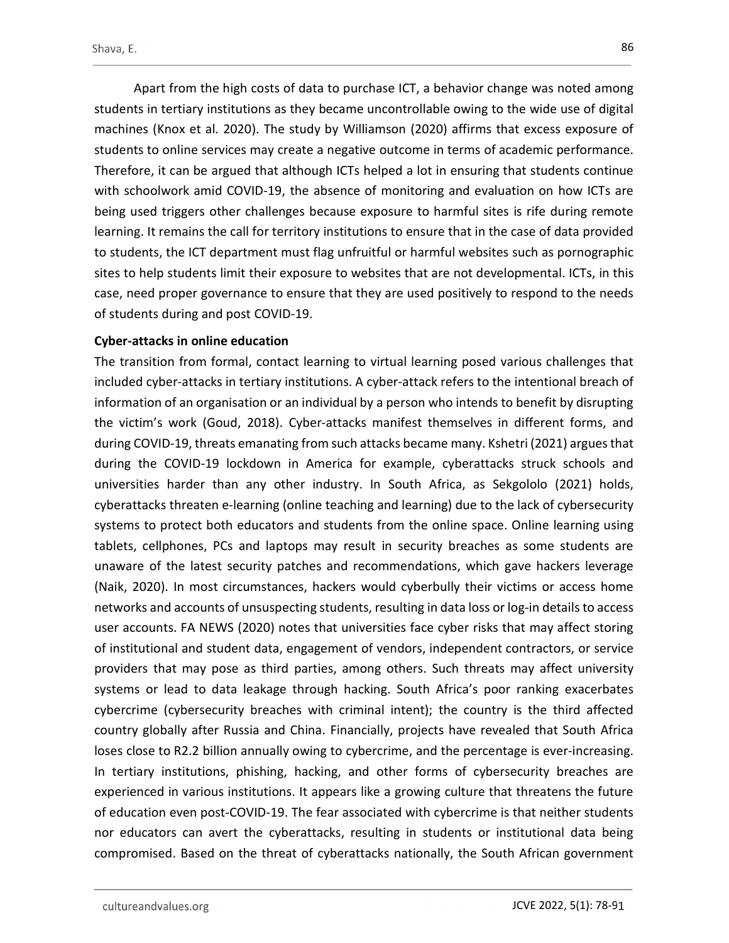Apart from the high costs of data to purchase ICT, a behavior change was noted among students in tertiary institutions as they became uncontrollable owing to the wide use of digital machines (Knox et al. 2020). The study by Williamson (2020) affirms that excess exposure of students to online services may create a negative outcome in terms of academic performance. Therefore, it can be argued that although ICTs helped a lot in ensuring that students continue with schoolwork amid COVID-19, the absence of monitoring and evaluation on how ICTs are being used triggers other challenges because exposure to harmful sites is rife during remote learning. It remains the call for territory institutions to ensure that in the case of data provided to students, the ICT department must flag unfruitful or harmful websites such as pornographic sites to help students limit their exposure to websites that are not developmental. ICTs, in this case, need proper governance to ensure that they are used positively to respond to the needs of students during and post COVID-19.

# Cyber-attacks in online education

The transition from formal, contact learning to virtual learning posed various challenges that included cyber-attacks in tertiary institutions. A cyber-attack refers to the intentional breach of information of an organisation or an individual by a person who intends to benefit by disrupting the victim's work (Goud, 2018). Cyber-attacks manifest themselves in different forms, and during COVID-19, threats emanating from such attacks became many. Kshetri (2021) argues that during the COVID-19 lockdown in America for example, cyberattacks struck schools and universities harder than any other industry. In South Africa, as Sekgololo (2021) holds, cyberattacks threaten e-learning (online teaching and learning) due to the lack of cybersecurity systems to protect both educators and students from the online space. Online learning using tablets, cellphones, PCs and laptops may result in security breaches as some students are unaware of the latest security patches and recommendations, which gave hackers leverage (Naik, 2020). In most circumstances, hackers would cyberbully their victims or access home networks and accounts of unsuspecting students, resulting in data loss or log-in details to access user accounts. FA NEWS (2020) notes that universities face cyber risks that may affect storing of institutional and student data, engagement of vendors, independent contractors, or service providers that may pose as third parties, among others. Such threats may affect university systems or lead to data leakage through hacking. South Africa's poor ranking exacerbates cybercrime (cybersecurity breaches with criminal intent); the country is the third affected country globally after Russia and China. Financially, projects have revealed that South Africa loses close to R2.2 billion annually owing to cybercrime, and the percentage is ever-increasing. In tertiary institutions, phishing, hacking, and other forms of cybersecurity breaches are experienced in various institutions. It appears like a growing culture that threatens the future of education even post-COVID-19. The fear associated with cybercrime is that neither students nor educators can avert the cyberattacks, resulting in students or institutional data being compromised. Based on the threat of cyberattacks nationally, the South African government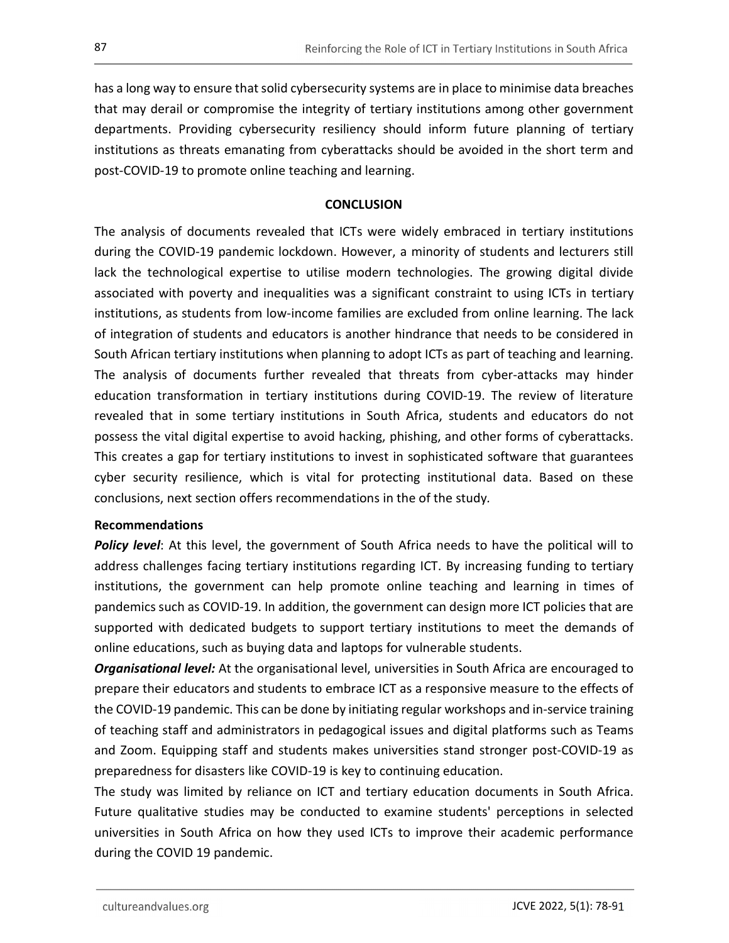has a long way to ensure that solid cybersecurity systems are in place to minimise data breaches that may derail or compromise the integrity of tertiary institutions among other government departments. Providing cybersecurity resiliency should inform future planning of tertiary institutions as threats emanating from cyberattacks should be avoided in the short term and post-COVID-19 to promote online teaching and learning.

# **CONCLUSION**

The analysis of documents revealed that ICTs were widely embraced in tertiary institutions during the COVID-19 pandemic lockdown. However, a minority of students and lecturers still lack the technological expertise to utilise modern technologies. The growing digital divide associated with poverty and inequalities was a significant constraint to using ICTs in tertiary institutions, as students from low-income families are excluded from online learning. The lack of integration of students and educators is another hindrance that needs to be considered in South African tertiary institutions when planning to adopt ICTs as part of teaching and learning. The analysis of documents further revealed that threats from cyber-attacks may hinder education transformation in tertiary institutions during COVID-19. The review of literature revealed that in some tertiary institutions in South Africa, students and educators do not possess the vital digital expertise to avoid hacking, phishing, and other forms of cyberattacks. This creates a gap for tertiary institutions to invest in sophisticated software that guarantees cyber security resilience, which is vital for protecting institutional data. Based on these conclusions, next section offers recommendations in the of the study.

## Recommendations

**Policy level:** At this level, the government of South Africa needs to have the political will to address challenges facing tertiary institutions regarding ICT. By increasing funding to tertiary institutions, the government can help promote online teaching and learning in times of pandemics such as COVID-19. In addition, the government can design more ICT policies that are supported with dedicated budgets to support tertiary institutions to meet the demands of online educations, such as buying data and laptops for vulnerable students.

**Organisational level:** At the organisational level, universities in South Africa are encouraged to prepare their educators and students to embrace ICT as a responsive measure to the effects of the COVID-19 pandemic. This can be done by initiating regular workshops and in-service training of teaching staff and administrators in pedagogical issues and digital platforms such as Teams and Zoom. Equipping staff and students makes universities stand stronger post-COVID-19 as preparedness for disasters like COVID-19 is key to continuing education.

The study was limited by reliance on ICT and tertiary education documents in South Africa. Future qualitative studies may be conducted to examine students' perceptions in selected universities in South Africa on how they used ICTs to improve their academic performance during the COVID 19 pandemic.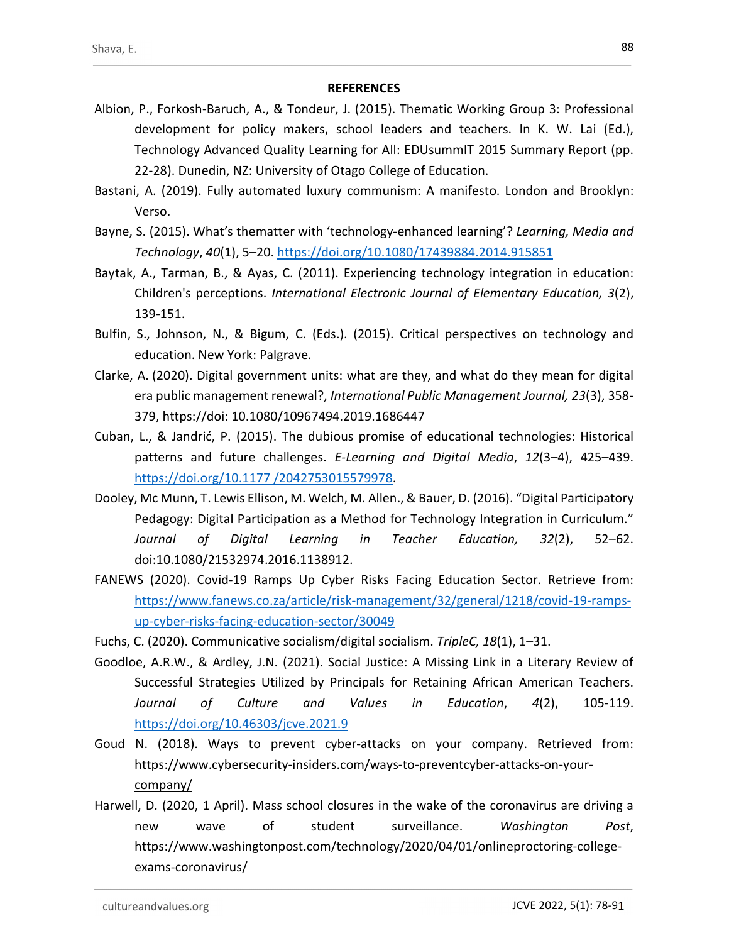# **REFERENCES**

- Albion, P., Forkosh-Baruch, A., & Tondeur, J. (2015). Thematic Working Group 3: Professional development for policy makers, school leaders and teachers. In K. W. Lai (Ed.), Technology Advanced Quality Learning for All: EDUsummIT 2015 Summary Report (pp. 22-28). Dunedin, NZ: University of Otago College of Education.
- Bastani, A. (2019). Fully automated luxury communism: A manifesto. London and Brooklyn: Verso.
- Bayne, S. (2015). What's thematter with 'technology-enhanced learning'? Learning, Media and Technology, 40(1), 5–20. https://doi.org/10.1080/17439884.2014.915851
- Baytak, A., Tarman, B., & Ayas, C. (2011). Experiencing technology integration in education: Children's perceptions. International Electronic Journal of Elementary Education, 3(2), 139-151.
- Bulfin, S., Johnson, N., & Bigum, C. (Eds.). (2015). Critical perspectives on technology and education. New York: Palgrave.
- Clarke, A. (2020). Digital government units: what are they, and what do they mean for digital era public management renewal?, International Public Management Journal, 23(3), 358- 379, https://doi: 10.1080/10967494.2019.1686447
- Cuban, L., & Jandrić, P. (2015). The dubious promise of educational technologies: Historical patterns and future challenges. E-Learning and Digital Media, 12(3-4), 425-439. https://doi.org/10.1177 /2042753015579978. Dooley, Mc Munn, T. Lewis Ellison, M. Welch, M. Allen., & Bauer, D. (2016). "Digital Participatory
- Pedagogy: Digital Participation as a Method for Technology Integration in Curriculum." Journal of Digital Learning in Teacher Education, 32(2), 52–62. doi:10.1080/21532974.2016.1138912.
- FANEWS (2020). Covid-19 Ramps Up Cyber Risks Facing Education Sector. Retrieve from: https://www.fanews.co.za/article/risk-management/32/general/1218/covid-19-rampsup-cyber-risks-facing-education-sector/30049
- Fuchs, C. (2020). Communicative socialism/digital socialism. TripleC, 18(1), 1–31.
- Goodloe, A.R.W., & Ardley, J.N. (2021). Social Justice: A Missing Link in a Literary Review of Successful Strategies Utilized by Principals for Retaining African American Teachers. Journal of Culture and Values in Education, 4(2), 105-119. https://doi.org/10.46303/jcve.2021.9
- Goud N. (2018). Ways to prevent cyber-attacks on your company. Retrieved from: https://www.cybersecurity-insiders.com/ways-to-preventcyber-attacks-on-yourcompany/
- Harwell, D. (2020, 1 April). Mass school closures in the wake of the coronavirus are driving a new wave of student surveillance. Washington Post,<br>https://www.washingtonpost.com/technology/2020/04/01/onlineproctoring-collegeexams-coronavirus/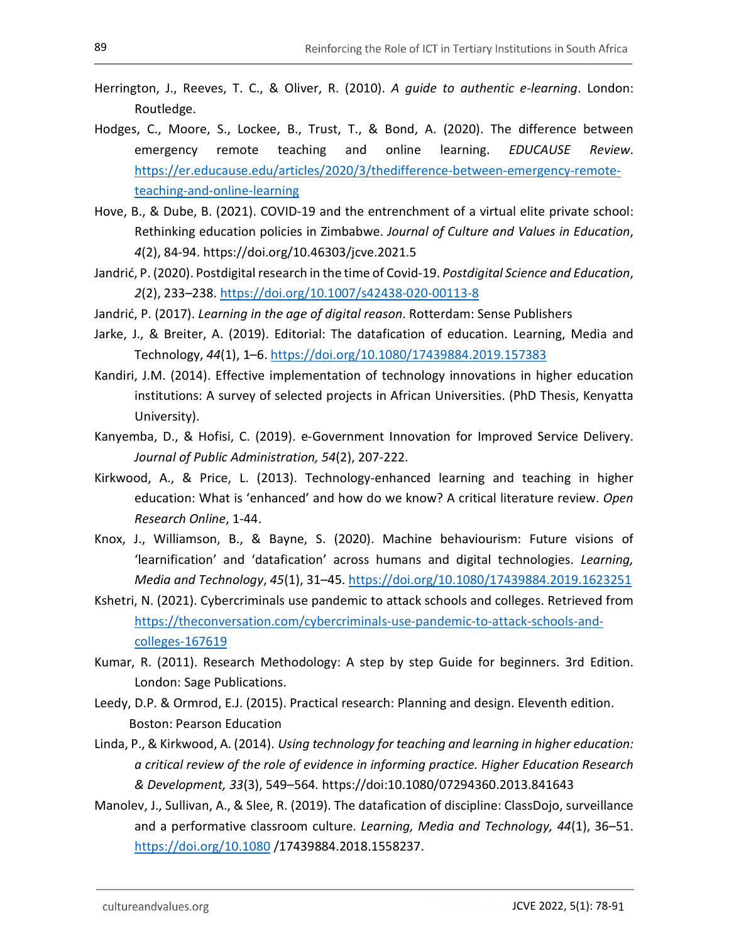- Herrington, J., Reeves, T. C., & Oliver, R. (2010). A guide to authentic e-learning. London: Routledge.
- Hodges, C., Moore, S., Lockee, B., Trust, T., & Bond, A. (2020). The difference between emergency remote teaching and online learning. *EDUCAUSE Review*.<br>https://er.educause.edu/articles/2020/3/thedifference-between-emergency-remoteteaching-and-online-learning<br>Hove, B., & Dube, B. (2021). COVID-19 and the entrenchment of a virtual elite private school:
- Rethinking education policies in Zimbabwe. Journal of Culture and Values in Education, 4(2), 84-94. https://doi.org/10.46303/jcve.2021.5
- Jandrić, P. (2020). Postdigital research in the time of Covid-19. Postdigital Science and Education, 2(2), 233–238. https://doi.org/10.1007/s42438-020-00113-8
- Jandrić, P. (2017). Learning in the age of digital reason. Rotterdam: Sense Publishers
- Jarke, J., & Breiter, A. (2019). Editorial: The datafication of education. Learning, Media and Technology, 44(1), 1–6. https://doi.org/10.1080/17439884.2019.157383
- Kandiri, J.M. (2014). Effective implementation of technology innovations in higher education institutions: A survey of selected projects in African Universities. (PhD Thesis, Kenyatta University).
- Kanyemba, D., & Hofisi, C. (2019). e-Government Innovation for Improved Service Delivery. Journal of Public Administration, 54(2), 207-222.
- Kirkwood, A., & Price, L. (2013). Technology-enhanced learning and teaching in higher education: What is 'enhanced' and how do we know? A critical literature review. Open Research Online, 1-44.
- Knox, J., Williamson, B., & Bayne, S. (2020). Machine behaviourism: Future visions of 'learnification' and 'datafication' across humans and digital technologies. Learning, Media and Technology, 45(1), 31–45. https://doi.org/10.1080/17439884.2019.1623251
- Kshetri, N. (2021). Cybercriminals use pandemic to attack schools and colleges. Retrieved from https://theconversation.com/cybercriminals-use-pandemic-to-attack-schools-andcolleges-167619
- Kumar, R. (2011). Research Methodology: A step by step Guide for beginners. 3rd Edition. London: Sage Publications.
- Leedy, D.P. & Ormrod, E.J. (2015). Practical research: Planning and design. Eleventh edition. Boston: Pearson Education
- Linda, P., & Kirkwood, A. (2014). Using technology for teaching and learning in higher education: a critical review of the role of evidence in informing practice. Higher Education Research & Development, 33(3), 549–564. https://doi:10.1080/07294360.2013.841643
- Manolev, J., Sullivan, A., & Slee, R. (2019). The datafication of discipline: ClassDojo, surveillance and a performative classroom culture. Learning, Media and Technology, 44(1), 36–51. https://doi.org/10.1080 /17439884.2018.1558237.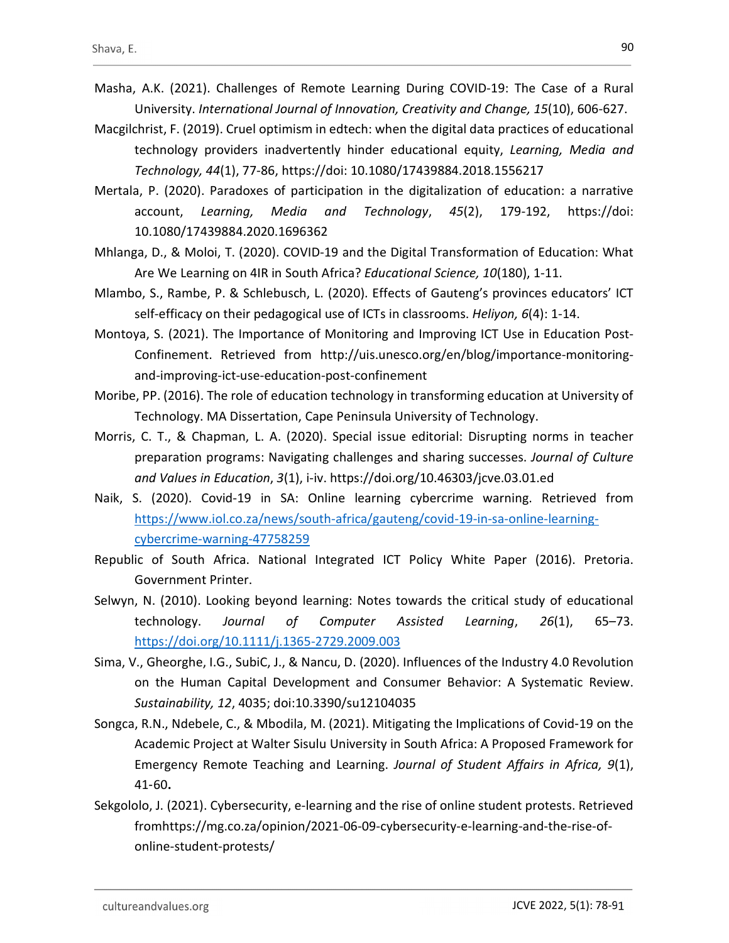- Masha, A.K. (2021). Challenges of Remote Learning During COVID-19: The Case of a Rural University. International Journal of Innovation, Creativity and Change, 15(10), 606-627.
- Macgilchrist, F. (2019). Cruel optimism in edtech: when the digital data practices of educational technology providers inadvertently hinder educational equity, Learning, Media and Technology, 44(1), 77-86, https://doi: 10.1080/17439884.2018.1556217
- Mertala, P. (2020). Paradoxes of participation in the digitalization of education: a narrative account, Learning, Media and Technology, 45(2), 179-192, https://doi: 10.1080/17439884.2020.1696362
- Mhlanga, D., & Moloi, T. (2020). COVID-19 and the Digital Transformation of Education: What Are We Learning on 4IR in South Africa? Educational Science, 10(180), 1-11.
- Mlambo, S., Rambe, P. & Schlebusch, L. (2020). Effects of Gauteng's provinces educators' ICT self-efficacy on their pedagogical use of ICTs in classrooms. Heliyon, 6(4): 1-14.
- Montoya, S. (2021). The Importance of Monitoring and Improving ICT Use in Education Post-Confinement. Retrieved from http://uis.unesco.org/en/blog/importance-monitoringand-improving-ict-use-education-post-confinement
- Moribe, PP. (2016). The role of education technology in transforming education at University of Technology. MA Dissertation, Cape Peninsula University of Technology.
- Morris, C. T., & Chapman, L. A. (2020). Special issue editorial: Disrupting norms in teacher preparation programs: Navigating challenges and sharing successes. Journal of Culture and Values in Education, 3(1), i-iv. https://doi.org/10.46303/jcve.03.01.ed
- Naik, S. (2020). Covid-19 in SA: Online learning cybercrime warning. Retrieved from https://www.iol.co.za/news/south-africa/gauteng/covid-19-in-sa-online-learningcybercrime-warning-47758259
- Republic of South Africa. National Integrated ICT Policy White Paper (2016). Pretoria. Government Printer.
- Selwyn, N. (2010). Looking beyond learning: Notes towards the critical study of educational technology. Journal of Computer Assisted Learning, 26(1), 65–73. https://doi.org/10.1111/j.1365-2729.2009.003
- Sima, V., Gheorghe, I.G., SubiC, J., & Nancu, D. (2020). Influences of the Industry 4.0 Revolution on the Human Capital Development and Consumer Behavior: A Systematic Review. Sustainability, 12, 4035; doi:10.3390/su12104035
- Songca, R.N., Ndebele, C., & Mbodila, M. (2021). Mitigating the Implications of Covid-19 on the Academic Project at Walter Sisulu University in South Africa: A Proposed Framework for Emergency Remote Teaching and Learning. Journal of Student Affairs in Africa, 9(1), 41‑60.
- Sekgololo, J. (2021). Cybersecurity, e-learning and the rise of online student protests. Retrieved fromhttps://mg.co.za/opinion/2021-06-09-cybersecurity-e-learning-and-the-rise-ofonline-student-protests/